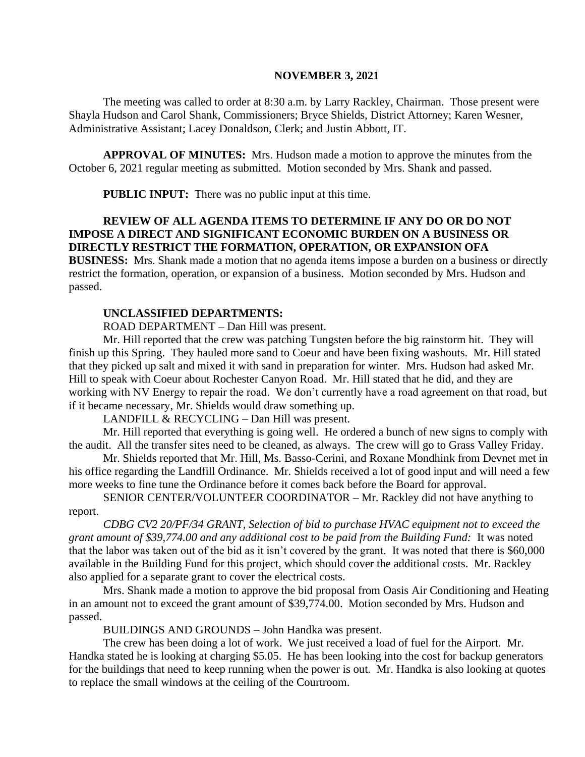### **NOVEMBER 3, 2021**

The meeting was called to order at 8:30 a.m. by Larry Rackley, Chairman. Those present were Shayla Hudson and Carol Shank, Commissioners; Bryce Shields, District Attorney; Karen Wesner, Administrative Assistant; Lacey Donaldson, Clerk; and Justin Abbott, IT.

**APPROVAL OF MINUTES:** Mrs. Hudson made a motion to approve the minutes from the October 6, 2021 regular meeting as submitted. Motion seconded by Mrs. Shank and passed.

**PUBLIC INPUT:** There was no public input at this time.

# **REVIEW OF ALL AGENDA ITEMS TO DETERMINE IF ANY DO OR DO NOT IMPOSE A DIRECT AND SIGNIFICANT ECONOMIC BURDEN ON A BUSINESS OR DIRECTLY RESTRICT THE FORMATION, OPERATION, OR EXPANSION OFA**

**BUSINESS:** Mrs. Shank made a motion that no agenda items impose a burden on a business or directly restrict the formation, operation, or expansion of a business. Motion seconded by Mrs. Hudson and passed.

# **UNCLASSIFIED DEPARTMENTS:**

ROAD DEPARTMENT – Dan Hill was present.

Mr. Hill reported that the crew was patching Tungsten before the big rainstorm hit. They will finish up this Spring. They hauled more sand to Coeur and have been fixing washouts. Mr. Hill stated that they picked up salt and mixed it with sand in preparation for winter. Mrs. Hudson had asked Mr. Hill to speak with Coeur about Rochester Canyon Road. Mr. Hill stated that he did, and they are working with NV Energy to repair the road. We don't currently have a road agreement on that road, but if it became necessary, Mr. Shields would draw something up.

LANDFILL & RECYCLING – Dan Hill was present.

Mr. Hill reported that everything is going well. He ordered a bunch of new signs to comply with the audit. All the transfer sites need to be cleaned, as always. The crew will go to Grass Valley Friday.

Mr. Shields reported that Mr. Hill, Ms. Basso-Cerini, and Roxane Mondhink from Devnet met in his office regarding the Landfill Ordinance. Mr. Shields received a lot of good input and will need a few more weeks to fine tune the Ordinance before it comes back before the Board for approval.

SENIOR CENTER/VOLUNTEER COORDINATOR – Mr. Rackley did not have anything to report.

*CDBG CV2 20/PF/34 GRANT, Selection of bid to purchase HVAC equipment not to exceed the grant amount of \$39,774.00 and any additional cost to be paid from the Building Fund:* It was noted that the labor was taken out of the bid as it isn't covered by the grant. It was noted that there is \$60,000 available in the Building Fund for this project, which should cover the additional costs. Mr. Rackley also applied for a separate grant to cover the electrical costs.

Mrs. Shank made a motion to approve the bid proposal from Oasis Air Conditioning and Heating in an amount not to exceed the grant amount of \$39,774.00. Motion seconded by Mrs. Hudson and passed.

BUILDINGS AND GROUNDS – John Handka was present.

The crew has been doing a lot of work. We just received a load of fuel for the Airport. Mr. Handka stated he is looking at charging \$5.05. He has been looking into the cost for backup generators for the buildings that need to keep running when the power is out. Mr. Handka is also looking at quotes to replace the small windows at the ceiling of the Courtroom.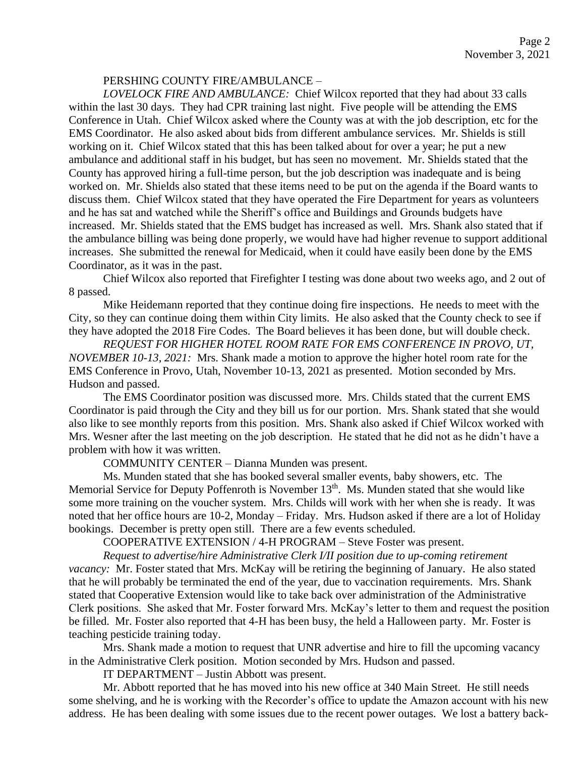## PERSHING COUNTY FIRE/AMBULANCE –

*LOVELOCK FIRE AND AMBULANCE:* Chief Wilcox reported that they had about 33 calls within the last 30 days. They had CPR training last night. Five people will be attending the EMS Conference in Utah. Chief Wilcox asked where the County was at with the job description, etc for the EMS Coordinator. He also asked about bids from different ambulance services. Mr. Shields is still working on it. Chief Wilcox stated that this has been talked about for over a year; he put a new ambulance and additional staff in his budget, but has seen no movement. Mr. Shields stated that the County has approved hiring a full-time person, but the job description was inadequate and is being worked on. Mr. Shields also stated that these items need to be put on the agenda if the Board wants to discuss them. Chief Wilcox stated that they have operated the Fire Department for years as volunteers and he has sat and watched while the Sheriff's office and Buildings and Grounds budgets have increased. Mr. Shields stated that the EMS budget has increased as well. Mrs. Shank also stated that if the ambulance billing was being done properly, we would have had higher revenue to support additional increases. She submitted the renewal for Medicaid, when it could have easily been done by the EMS Coordinator, as it was in the past.

Chief Wilcox also reported that Firefighter I testing was done about two weeks ago, and 2 out of 8 passed.

Mike Heidemann reported that they continue doing fire inspections. He needs to meet with the City, so they can continue doing them within City limits. He also asked that the County check to see if they have adopted the 2018 Fire Codes. The Board believes it has been done, but will double check.

*REQUEST FOR HIGHER HOTEL ROOM RATE FOR EMS CONFERENCE IN PROVO, UT, NOVEMBER 10-13, 2021:* Mrs. Shank made a motion to approve the higher hotel room rate for the EMS Conference in Provo, Utah, November 10-13, 2021 as presented. Motion seconded by Mrs. Hudson and passed.

The EMS Coordinator position was discussed more. Mrs. Childs stated that the current EMS Coordinator is paid through the City and they bill us for our portion. Mrs. Shank stated that she would also like to see monthly reports from this position. Mrs. Shank also asked if Chief Wilcox worked with Mrs. Wesner after the last meeting on the job description. He stated that he did not as he didn't have a problem with how it was written.

COMMUNITY CENTER – Dianna Munden was present.

Ms. Munden stated that she has booked several smaller events, baby showers, etc. The Memorial Service for Deputy Poffenroth is November 13<sup>th</sup>. Ms. Munden stated that she would like some more training on the voucher system. Mrs. Childs will work with her when she is ready. It was noted that her office hours are 10-2, Monday – Friday. Mrs. Hudson asked if there are a lot of Holiday bookings. December is pretty open still. There are a few events scheduled.

COOPERATIVE EXTENSION / 4-H PROGRAM – Steve Foster was present.

*Request to advertise/hire Administrative Clerk I/II position due to up-coming retirement vacancy:* Mr. Foster stated that Mrs. McKay will be retiring the beginning of January. He also stated that he will probably be terminated the end of the year, due to vaccination requirements. Mrs. Shank stated that Cooperative Extension would like to take back over administration of the Administrative Clerk positions. She asked that Mr. Foster forward Mrs. McKay's letter to them and request the position be filled. Mr. Foster also reported that 4-H has been busy, the held a Halloween party. Mr. Foster is teaching pesticide training today.

Mrs. Shank made a motion to request that UNR advertise and hire to fill the upcoming vacancy in the Administrative Clerk position. Motion seconded by Mrs. Hudson and passed.

IT DEPARTMENT – Justin Abbott was present.

Mr. Abbott reported that he has moved into his new office at 340 Main Street. He still needs some shelving, and he is working with the Recorder's office to update the Amazon account with his new address. He has been dealing with some issues due to the recent power outages. We lost a battery back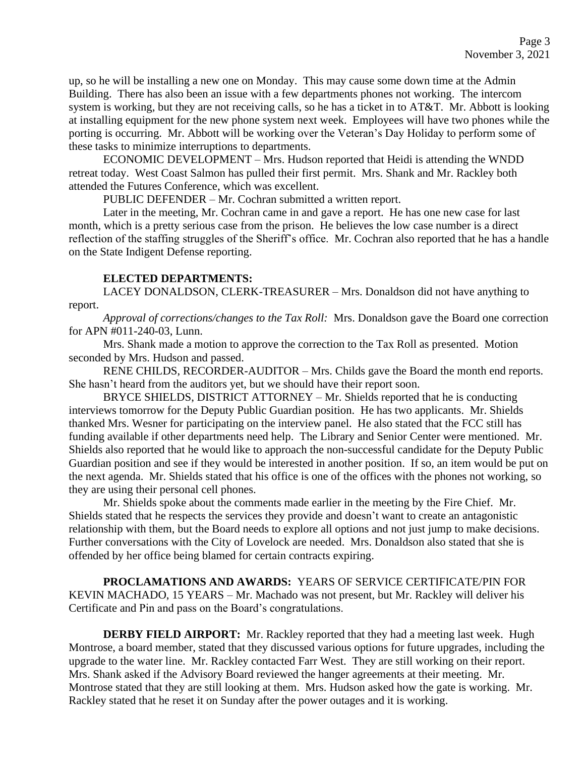up, so he will be installing a new one on Monday. This may cause some down time at the Admin Building. There has also been an issue with a few departments phones not working. The intercom system is working, but they are not receiving calls, so he has a ticket in to AT&T. Mr. Abbott is looking at installing equipment for the new phone system next week. Employees will have two phones while the porting is occurring. Mr. Abbott will be working over the Veteran's Day Holiday to perform some of these tasks to minimize interruptions to departments.

ECONOMIC DEVELOPMENT – Mrs. Hudson reported that Heidi is attending the WNDD retreat today. West Coast Salmon has pulled their first permit. Mrs. Shank and Mr. Rackley both attended the Futures Conference, which was excellent.

PUBLIC DEFENDER – Mr. Cochran submitted a written report.

Later in the meeting, Mr. Cochran came in and gave a report. He has one new case for last month, which is a pretty serious case from the prison. He believes the low case number is a direct reflection of the staffing struggles of the Sheriff's office. Mr. Cochran also reported that he has a handle on the State Indigent Defense reporting.

# **ELECTED DEPARTMENTS:**

LACEY DONALDSON, CLERK-TREASURER – Mrs. Donaldson did not have anything to report.

*Approval of corrections/changes to the Tax Roll:* Mrs. Donaldson gave the Board one correction for APN #011-240-03, Lunn.

Mrs. Shank made a motion to approve the correction to the Tax Roll as presented. Motion seconded by Mrs. Hudson and passed.

RENE CHILDS, RECORDER-AUDITOR – Mrs. Childs gave the Board the month end reports. She hasn't heard from the auditors yet, but we should have their report soon.

BRYCE SHIELDS, DISTRICT ATTORNEY – Mr. Shields reported that he is conducting interviews tomorrow for the Deputy Public Guardian position. He has two applicants. Mr. Shields thanked Mrs. Wesner for participating on the interview panel. He also stated that the FCC still has funding available if other departments need help. The Library and Senior Center were mentioned. Mr. Shields also reported that he would like to approach the non-successful candidate for the Deputy Public Guardian position and see if they would be interested in another position. If so, an item would be put on the next agenda. Mr. Shields stated that his office is one of the offices with the phones not working, so they are using their personal cell phones.

Mr. Shields spoke about the comments made earlier in the meeting by the Fire Chief. Mr. Shields stated that he respects the services they provide and doesn't want to create an antagonistic relationship with them, but the Board needs to explore all options and not just jump to make decisions. Further conversations with the City of Lovelock are needed. Mrs. Donaldson also stated that she is offended by her office being blamed for certain contracts expiring.

**PROCLAMATIONS AND AWARDS:** YEARS OF SERVICE CERTIFICATE/PIN FOR KEVIN MACHADO, 15 YEARS – Mr. Machado was not present, but Mr. Rackley will deliver his Certificate and Pin and pass on the Board's congratulations.

**DERBY FIELD AIRPORT:** Mr. Rackley reported that they had a meeting last week. Hugh Montrose, a board member, stated that they discussed various options for future upgrades, including the upgrade to the water line. Mr. Rackley contacted Farr West. They are still working on their report. Mrs. Shank asked if the Advisory Board reviewed the hanger agreements at their meeting. Mr. Montrose stated that they are still looking at them. Mrs. Hudson asked how the gate is working. Mr. Rackley stated that he reset it on Sunday after the power outages and it is working.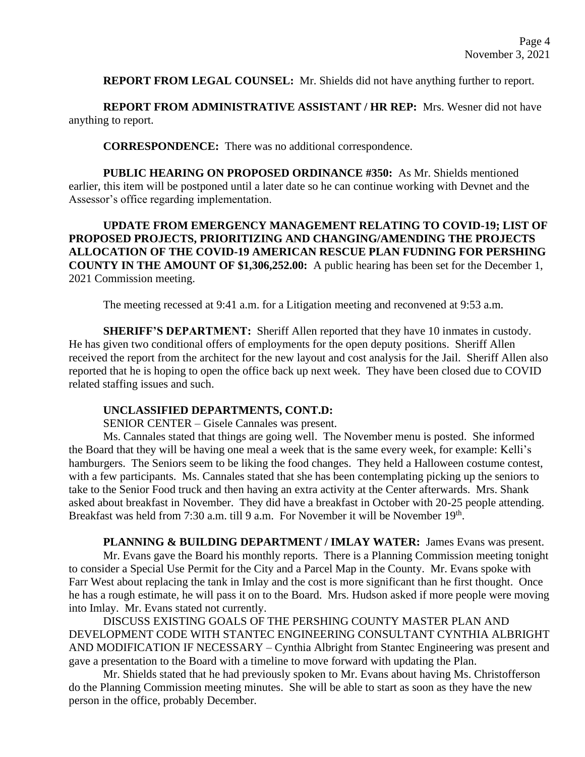**REPORT FROM LEGAL COUNSEL:** Mr. Shields did not have anything further to report.

**REPORT FROM ADMINISTRATIVE ASSISTANT / HR REP:** Mrs. Wesner did not have anything to report.

**CORRESPONDENCE:** There was no additional correspondence.

**PUBLIC HEARING ON PROPOSED ORDINANCE #350:** As Mr. Shields mentioned earlier, this item will be postponed until a later date so he can continue working with Devnet and the Assessor's office regarding implementation.

**UPDATE FROM EMERGENCY MANAGEMENT RELATING TO COVID-19; LIST OF PROPOSED PROJECTS, PRIORITIZING AND CHANGING/AMENDING THE PROJECTS ALLOCATION OF THE COVID-19 AMERICAN RESCUE PLAN FUDNING FOR PERSHING COUNTY IN THE AMOUNT OF \$1,306,252.00:** A public hearing has been set for the December 1, 2021 Commission meeting.

The meeting recessed at 9:41 a.m. for a Litigation meeting and reconvened at 9:53 a.m.

**SHERIFF'S DEPARTMENT:** Sheriff Allen reported that they have 10 inmates in custody. He has given two conditional offers of employments for the open deputy positions. Sheriff Allen received the report from the architect for the new layout and cost analysis for the Jail. Sheriff Allen also reported that he is hoping to open the office back up next week. They have been closed due to COVID related staffing issues and such.

## **UNCLASSIFIED DEPARTMENTS, CONT.D:**

SENIOR CENTER – Gisele Cannales was present.

Ms. Cannales stated that things are going well. The November menu is posted. She informed the Board that they will be having one meal a week that is the same every week, for example: Kelli's hamburgers. The Seniors seem to be liking the food changes. They held a Halloween costume contest, with a few participants. Ms. Cannales stated that she has been contemplating picking up the seniors to take to the Senior Food truck and then having an extra activity at the Center afterwards. Mrs. Shank asked about breakfast in November. They did have a breakfast in October with 20-25 people attending. Breakfast was held from 7:30 a.m. till 9 a.m. For November it will be November 19<sup>th</sup>.

**PLANNING & BUILDING DEPARTMENT / IMLAY WATER:** James Evans was present. Mr. Evans gave the Board his monthly reports. There is a Planning Commission meeting tonight to consider a Special Use Permit for the City and a Parcel Map in the County. Mr. Evans spoke with Farr West about replacing the tank in Imlay and the cost is more significant than he first thought. Once he has a rough estimate, he will pass it on to the Board. Mrs. Hudson asked if more people were moving into Imlay. Mr. Evans stated not currently.

DISCUSS EXISTING GOALS OF THE PERSHING COUNTY MASTER PLAN AND DEVELOPMENT CODE WITH STANTEC ENGINEERING CONSULTANT CYNTHIA ALBRIGHT AND MODIFICATION IF NECESSARY – Cynthia Albright from Stantec Engineering was present and gave a presentation to the Board with a timeline to move forward with updating the Plan.

Mr. Shields stated that he had previously spoken to Mr. Evans about having Ms. Christofferson do the Planning Commission meeting minutes. She will be able to start as soon as they have the new person in the office, probably December.